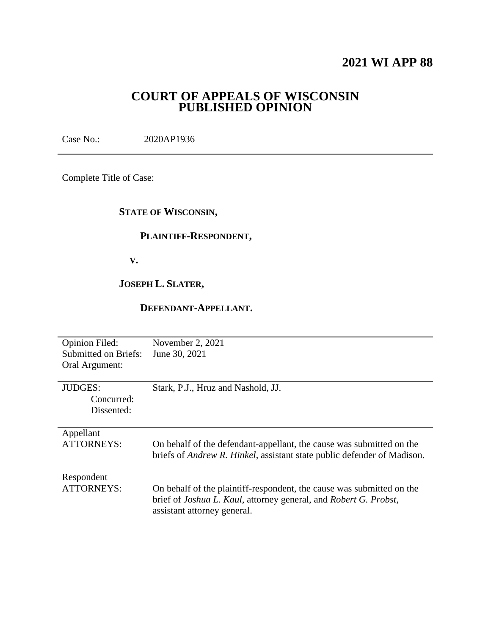## **2021 WI APP 88**

### **COURT OF APPEALS OF WISCONSIN PUBLISHED OPINION**

Case No.: 2020AP1936

Complete Title of Case:

#### **STATE OF WISCONSIN,**

### **PLAINTIFF-RESPONDENT,**

 **V.**

### **JOSEPH L. SLATER,**

#### **DEFENDANT-APPELLANT.**

| <b>Opinion Filed:</b><br><b>Submitted on Briefs:</b><br>Oral Argument: | November 2, 2021<br>June 30, 2021                                                                                                                                                        |
|------------------------------------------------------------------------|------------------------------------------------------------------------------------------------------------------------------------------------------------------------------------------|
| <b>JUDGES:</b><br>Concurred:<br>Dissented:                             | Stark, P.J., Hruz and Nashold, JJ.                                                                                                                                                       |
| Appellant<br><b>ATTORNEYS:</b>                                         | On behalf of the defendant-appellant, the cause was submitted on the<br>briefs of <i>Andrew R. Hinkel</i> , assistant state public defender of Madison.                                  |
| Respondent<br><b>ATTORNEYS:</b>                                        | On behalf of the plaintiff-respondent, the cause was submitted on the<br>brief of <i>Joshua L. Kaul</i> , attorney general, and <i>Robert G. Probst</i> ,<br>assistant attorney general. |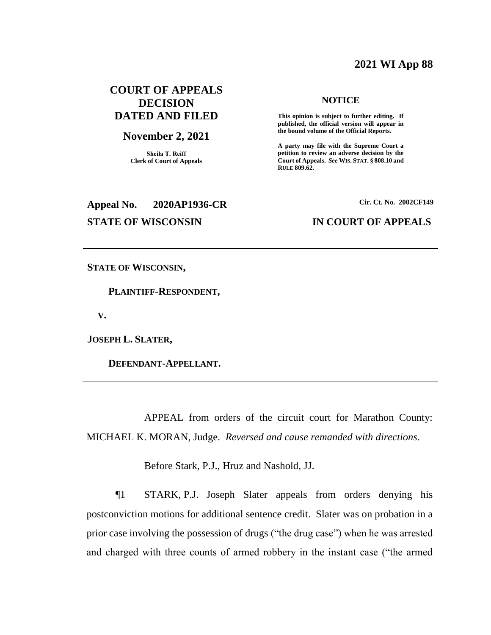#### **2021 WI App 88**

#### **COURT OF APPEALS DECISION DATED AND FILED**

#### **November 2, 2021**

**Sheila T. Reiff Clerk of Court of Appeals**

# **Appeal No. 2020AP1936-CR Cir. Ct. No. 2002CF149**

#### **STATE OF WISCONSIN IN COURT OF APPEALS**

**NOTICE This opinion is subject to further editing. If published, the official version will appear in the bound volume of the Official Reports.** 

**A party may file with the Supreme Court a petition to review an adverse decision by the Court of Appeals.** *See* **WIS. STAT. § 808.10 and** 

**RULE 809.62.** 

**STATE OF WISCONSIN,**

 **PLAINTIFF-RESPONDENT,**

 **V.**

**JOSEPH L. SLATER,**

 **DEFENDANT-APPELLANT.**

APPEAL from orders of the circuit court for Marathon County: MICHAEL K. MORAN, Judge. *Reversed and cause remanded with directions*.

Before Stark, P.J., Hruz and Nashold, JJ.

¶1 STARK, P.J. Joseph Slater appeals from orders denying his postconviction motions for additional sentence credit. Slater was on probation in a prior case involving the possession of drugs ("the drug case") when he was arrested and charged with three counts of armed robbery in the instant case ("the armed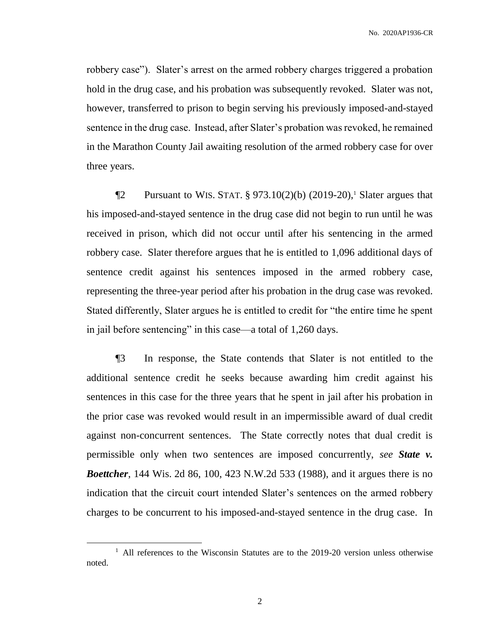robbery case"). Slater's arrest on the armed robbery charges triggered a probation hold in the drug case, and his probation was subsequently revoked. Slater was not, however, transferred to prison to begin serving his previously imposed-and-stayed sentence in the drug case. Instead, after Slater's probation was revoked, he remained in the Marathon County Jail awaiting resolution of the armed robbery case for over three years.

 $\P2$  Pursuant to WIS. STAT. § 973.10(2)(b) (2019-20),<sup>1</sup> Slater argues that his imposed-and-stayed sentence in the drug case did not begin to run until he was received in prison, which did not occur until after his sentencing in the armed robbery case. Slater therefore argues that he is entitled to 1,096 additional days of sentence credit against his sentences imposed in the armed robbery case, representing the three-year period after his probation in the drug case was revoked. Stated differently, Slater argues he is entitled to credit for "the entire time he spent in jail before sentencing" in this case—a total of 1,260 days.

¶3 In response, the State contends that Slater is not entitled to the additional sentence credit he seeks because awarding him credit against his sentences in this case for the three years that he spent in jail after his probation in the prior case was revoked would result in an impermissible award of dual credit against non-concurrent sentences. The State correctly notes that dual credit is permissible only when two sentences are imposed concurrently, *see State v. Boettcher*, 144 Wis. 2d 86, 100, 423 N.W.2d 533 (1988), and it argues there is no indication that the circuit court intended Slater's sentences on the armed robbery charges to be concurrent to his imposed-and-stayed sentence in the drug case. In

<sup>&</sup>lt;sup>1</sup> All references to the Wisconsin Statutes are to the 2019-20 version unless otherwise noted.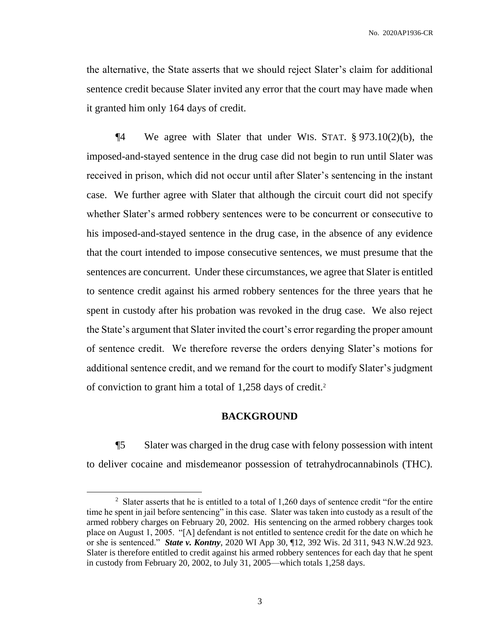the alternative, the State asserts that we should reject Slater's claim for additional sentence credit because Slater invited any error that the court may have made when it granted him only 164 days of credit.

¶4 We agree with Slater that under WIS. STAT. § 973.10(2)(b), the imposed-and-stayed sentence in the drug case did not begin to run until Slater was received in prison, which did not occur until after Slater's sentencing in the instant case. We further agree with Slater that although the circuit court did not specify whether Slater's armed robbery sentences were to be concurrent or consecutive to his imposed-and-stayed sentence in the drug case, in the absence of any evidence that the court intended to impose consecutive sentences, we must presume that the sentences are concurrent. Under these circumstances, we agree that Slater is entitled to sentence credit against his armed robbery sentences for the three years that he spent in custody after his probation was revoked in the drug case. We also reject the State's argument that Slater invited the court's error regarding the proper amount of sentence credit. We therefore reverse the orders denying Slater's motions for additional sentence credit, and we remand for the court to modify Slater's judgment of conviction to grant him a total of 1,258 days of credit.<sup>2</sup>

#### **BACKGROUND**

¶5 Slater was charged in the drug case with felony possession with intent to deliver cocaine and misdemeanor possession of tetrahydrocannabinols (THC).

<sup>&</sup>lt;sup>2</sup> Slater asserts that he is entitled to a total of 1,260 days of sentence credit "for the entire" time he spent in jail before sentencing" in this case. Slater was taken into custody as a result of the armed robbery charges on February 20, 2002. His sentencing on the armed robbery charges took place on August 1, 2005. "[A] defendant is not entitled to sentence credit for the date on which he or she is sentenced." *State v. Kontny*, 2020 WI App 30, ¶12, 392 Wis. 2d 311, 943 N.W.2d 923. Slater is therefore entitled to credit against his armed robbery sentences for each day that he spent in custody from February 20, 2002, to July 31, 2005—which totals 1,258 days.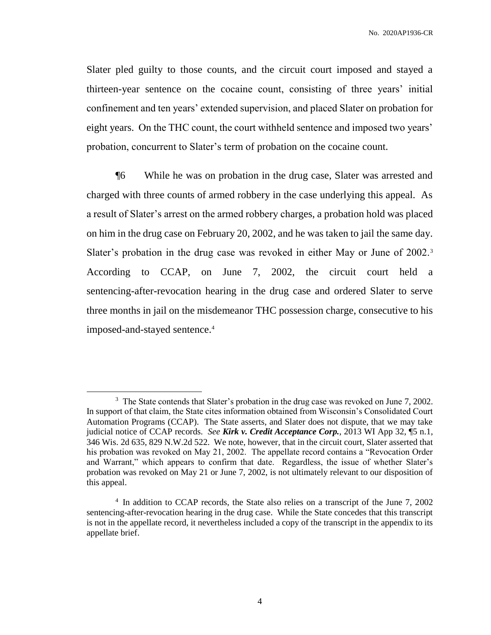Slater pled guilty to those counts, and the circuit court imposed and stayed a thirteen-year sentence on the cocaine count, consisting of three years' initial confinement and ten years' extended supervision, and placed Slater on probation for eight years. On the THC count, the court withheld sentence and imposed two years' probation, concurrent to Slater's term of probation on the cocaine count.

¶6 While he was on probation in the drug case, Slater was arrested and charged with three counts of armed robbery in the case underlying this appeal. As a result of Slater's arrest on the armed robbery charges, a probation hold was placed on him in the drug case on February 20, 2002, and he was taken to jail the same day. Slater's probation in the drug case was revoked in either May or June of 2002.<sup>3</sup> According to CCAP, on June 7, 2002, the circuit court held a sentencing-after-revocation hearing in the drug case and ordered Slater to serve three months in jail on the misdemeanor THC possession charge, consecutive to his imposed-and-stayed sentence.<sup>4</sup>

 $3$  The State contends that Slater's probation in the drug case was revoked on June 7, 2002. In support of that claim, the State cites information obtained from Wisconsin's Consolidated Court Automation Programs (CCAP). The State asserts, and Slater does not dispute, that we may take judicial notice of CCAP records. *See Kirk v. Credit Acceptance Corp.*, 2013 WI App 32, ¶5 n.1, 346 Wis. 2d 635, 829 N.W.2d 522. We note, however, that in the circuit court, Slater asserted that his probation was revoked on May 21, 2002. The appellate record contains a "Revocation Order and Warrant," which appears to confirm that date. Regardless, the issue of whether Slater's probation was revoked on May 21 or June 7, 2002, is not ultimately relevant to our disposition of this appeal.

<sup>&</sup>lt;sup>4</sup> In addition to CCAP records, the State also relies on a transcript of the June 7, 2002 sentencing-after-revocation hearing in the drug case. While the State concedes that this transcript is not in the appellate record, it nevertheless included a copy of the transcript in the appendix to its appellate brief.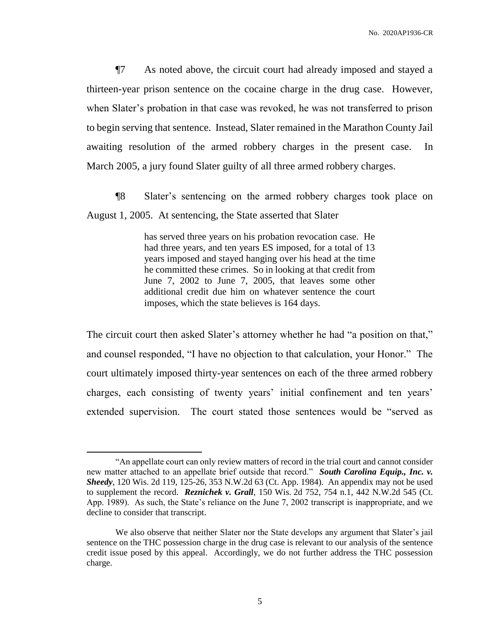¶7 As noted above, the circuit court had already imposed and stayed a thirteen-year prison sentence on the cocaine charge in the drug case. However, when Slater's probation in that case was revoked, he was not transferred to prison to begin serving that sentence. Instead, Slater remained in the Marathon County Jail awaiting resolution of the armed robbery charges in the present case. In March 2005, a jury found Slater guilty of all three armed robbery charges.

¶8 Slater's sentencing on the armed robbery charges took place on August 1, 2005. At sentencing, the State asserted that Slater

> has served three years on his probation revocation case. He had three years, and ten years ES imposed, for a total of 13 years imposed and stayed hanging over his head at the time he committed these crimes. So in looking at that credit from June 7, 2002 to June 7, 2005, that leaves some other additional credit due him on whatever sentence the court imposes, which the state believes is 164 days.

The circuit court then asked Slater's attorney whether he had "a position on that," and counsel responded, "I have no objection to that calculation, your Honor." The court ultimately imposed thirty-year sentences on each of the three armed robbery charges, each consisting of twenty years' initial confinement and ten years' extended supervision. The court stated those sentences would be "served as

<sup>&</sup>quot;An appellate court can only review matters of record in the trial court and cannot consider new matter attached to an appellate brief outside that record." *South Carolina Equip., Inc. v. Sheedy*, 120 Wis. 2d 119, 125-26, 353 N.W.2d 63 (Ct. App. 1984). An appendix may not be used to supplement the record. *Reznichek v. Grall*, 150 Wis. 2d 752, 754 n.1, 442 N.W.2d 545 (Ct. App. 1989). As such, the State's reliance on the June 7, 2002 transcript is inappropriate, and we decline to consider that transcript.

We also observe that neither Slater nor the State develops any argument that Slater's jail sentence on the THC possession charge in the drug case is relevant to our analysis of the sentence credit issue posed by this appeal. Accordingly, we do not further address the THC possession charge.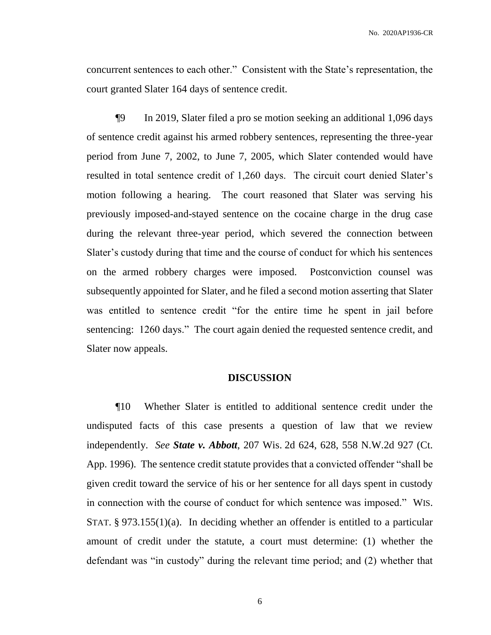concurrent sentences to each other." Consistent with the State's representation, the court granted Slater 164 days of sentence credit.

¶9 In 2019, Slater filed a pro se motion seeking an additional 1,096 days of sentence credit against his armed robbery sentences, representing the three-year period from June 7, 2002, to June 7, 2005, which Slater contended would have resulted in total sentence credit of 1,260 days. The circuit court denied Slater's motion following a hearing. The court reasoned that Slater was serving his previously imposed-and-stayed sentence on the cocaine charge in the drug case during the relevant three-year period, which severed the connection between Slater's custody during that time and the course of conduct for which his sentences on the armed robbery charges were imposed. Postconviction counsel was subsequently appointed for Slater, and he filed a second motion asserting that Slater was entitled to sentence credit "for the entire time he spent in jail before sentencing: 1260 days." The court again denied the requested sentence credit, and Slater now appeals.

#### **DISCUSSION**

¶10 Whether Slater is entitled to additional sentence credit under the undisputed facts of this case presents a question of law that we review independently. *See State v. Abbott*, 207 Wis. 2d 624, 628, 558 N.W.2d 927 (Ct. App. 1996). The sentence credit statute provides that a convicted offender "shall be given credit toward the service of his or her sentence for all days spent in custody in connection with the course of conduct for which sentence was imposed." WIS. STAT.  $\S 973.155(1)(a)$ . In deciding whether an offender is entitled to a particular amount of credit under the statute, a court must determine: (1) whether the defendant was "in custody" during the relevant time period; and (2) whether that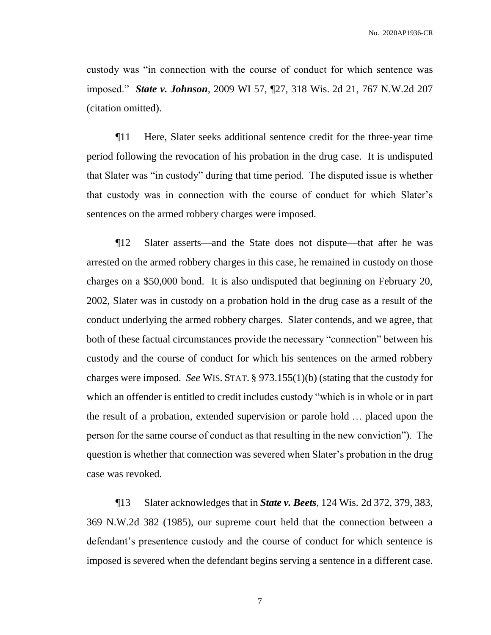custody was "in connection with the course of conduct for which sentence was imposed." *State v. Johnson*, 2009 WI 57, ¶27, 318 Wis. 2d 21, 767 N.W.2d 207 (citation omitted).

¶11 Here, Slater seeks additional sentence credit for the three-year time period following the revocation of his probation in the drug case. It is undisputed that Slater was "in custody" during that time period. The disputed issue is whether that custody was in connection with the course of conduct for which Slater's sentences on the armed robbery charges were imposed.

¶12 Slater asserts—and the State does not dispute—that after he was arrested on the armed robbery charges in this case, he remained in custody on those charges on a \$50,000 bond. It is also undisputed that beginning on February 20, 2002, Slater was in custody on a probation hold in the drug case as a result of the conduct underlying the armed robbery charges. Slater contends, and we agree, that both of these factual circumstances provide the necessary "connection" between his custody and the course of conduct for which his sentences on the armed robbery charges were imposed. *See* WIS. STAT. § 973.155(1)(b) (stating that the custody for which an offender is entitled to credit includes custody "which is in whole or in part the result of a probation, extended supervision or parole hold … placed upon the person for the same course of conduct as that resulting in the new conviction"). The question is whether that connection was severed when Slater's probation in the drug case was revoked.

¶13 Slater acknowledges that in *State v. Beets*, 124 Wis. 2d 372, 379, 383, 369 N.W.2d 382 (1985), our supreme court held that the connection between a defendant's presentence custody and the course of conduct for which sentence is imposed is severed when the defendant begins serving a sentence in a different case.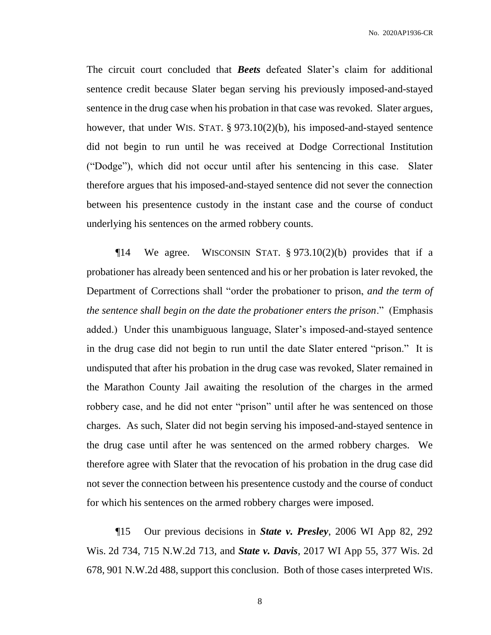The circuit court concluded that *Beets* defeated Slater's claim for additional sentence credit because Slater began serving his previously imposed-and-stayed sentence in the drug case when his probation in that case was revoked. Slater argues, however, that under WIS. STAT. § 973.10(2)(b), his imposed-and-stayed sentence did not begin to run until he was received at Dodge Correctional Institution ("Dodge"), which did not occur until after his sentencing in this case. Slater therefore argues that his imposed-and-stayed sentence did not sever the connection between his presentence custody in the instant case and the course of conduct underlying his sentences on the armed robbery counts.

 $\P$ 14 We agree. WISCONSIN STAT. § 973.10(2)(b) provides that if a probationer has already been sentenced and his or her probation is later revoked, the Department of Corrections shall "order the probationer to prison, *and the term of the sentence shall begin on the date the probationer enters the prison*." (Emphasis added.) Under this unambiguous language, Slater's imposed-and-stayed sentence in the drug case did not begin to run until the date Slater entered "prison." It is undisputed that after his probation in the drug case was revoked, Slater remained in the Marathon County Jail awaiting the resolution of the charges in the armed robbery case, and he did not enter "prison" until after he was sentenced on those charges. As such, Slater did not begin serving his imposed-and-stayed sentence in the drug case until after he was sentenced on the armed robbery charges. We therefore agree with Slater that the revocation of his probation in the drug case did not sever the connection between his presentence custody and the course of conduct for which his sentences on the armed robbery charges were imposed.

¶15 Our previous decisions in *State v. Presley*, 2006 WI App 82, 292 Wis. 2d 734, 715 N.W.2d 713, and *State v. Davis*, 2017 WI App 55, 377 Wis. 2d 678, 901 N.W.2d 488, support this conclusion. Both of those cases interpreted WIS.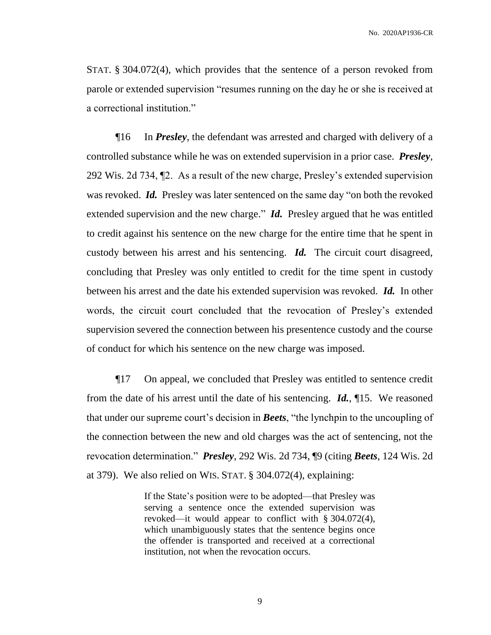STAT. § 304.072(4), which provides that the sentence of a person revoked from parole or extended supervision "resumes running on the day he or she is received at a correctional institution."

¶16 In *Presley*, the defendant was arrested and charged with delivery of a controlled substance while he was on extended supervision in a prior case. *Presley*, 292 Wis. 2d 734, ¶2. As a result of the new charge, Presley's extended supervision was revoked. *Id.* Presley was later sentenced on the same day "on both the revoked extended supervision and the new charge." *Id.* Presley argued that he was entitled to credit against his sentence on the new charge for the entire time that he spent in custody between his arrest and his sentencing. *Id.* The circuit court disagreed, concluding that Presley was only entitled to credit for the time spent in custody between his arrest and the date his extended supervision was revoked. *Id.* In other words, the circuit court concluded that the revocation of Presley's extended supervision severed the connection between his presentence custody and the course of conduct for which his sentence on the new charge was imposed.

¶17 On appeal, we concluded that Presley was entitled to sentence credit from the date of his arrest until the date of his sentencing. *Id.*, ¶15. We reasoned that under our supreme court's decision in *Beets*, "the lynchpin to the uncoupling of the connection between the new and old charges was the act of sentencing, not the revocation determination." *Presley*, 292 Wis. 2d 734, ¶9 (citing *Beets*, 124 Wis. 2d at 379). We also relied on WIS. STAT. § 304.072(4), explaining:

> If the State's position were to be adopted—that Presley was serving a sentence once the extended supervision was revoked—it would appear to conflict with § 304.072(4), which unambiguously states that the sentence begins once the offender is transported and received at a correctional institution, not when the revocation occurs.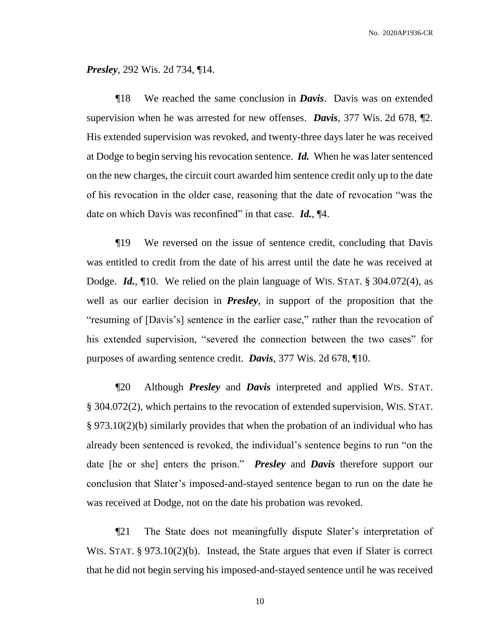*Presley*, 292 Wis. 2d 734, ¶14.

¶18 We reached the same conclusion in *Davis*. Davis was on extended supervision when he was arrested for new offenses. *Davis*, 377 Wis. 2d 678, ¶2. His extended supervision was revoked, and twenty-three days later he was received at Dodge to begin serving his revocation sentence. *Id.* When he was later sentenced on the new charges, the circuit court awarded him sentence credit only up to the date of his revocation in the older case, reasoning that the date of revocation "was the date on which Davis was reconfined" in that case. *Id.*, ¶4.

¶19 We reversed on the issue of sentence credit, concluding that Davis was entitled to credit from the date of his arrest until the date he was received at Dodge. *Id.*, ¶10. We relied on the plain language of WIS. STAT. § 304.072(4), as well as our earlier decision in *Presley*, in support of the proposition that the "resuming of [Davis's] sentence in the earlier case," rather than the revocation of his extended supervision, "severed the connection between the two cases" for purposes of awarding sentence credit. *Davis*, 377 Wis. 2d 678, ¶10.

¶20 Although *Presley* and *Davis* interpreted and applied WIS. STAT. § 304.072(2), which pertains to the revocation of extended supervision, WIS. STAT. § 973.10(2)(b) similarly provides that when the probation of an individual who has already been sentenced is revoked, the individual's sentence begins to run "on the date [he or she] enters the prison." *Presley* and *Davis* therefore support our conclusion that Slater's imposed-and-stayed sentence began to run on the date he was received at Dodge, not on the date his probation was revoked.

¶21 The State does not meaningfully dispute Slater's interpretation of WIS. STAT. § 973.10(2)(b). Instead, the State argues that even if Slater is correct that he did not begin serving his imposed-and-stayed sentence until he was received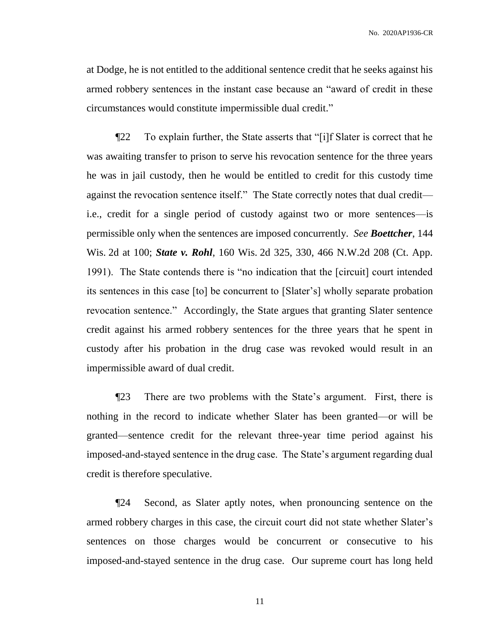at Dodge, he is not entitled to the additional sentence credit that he seeks against his armed robbery sentences in the instant case because an "award of credit in these circumstances would constitute impermissible dual credit."

¶22 To explain further, the State asserts that "[i]f Slater is correct that he was awaiting transfer to prison to serve his revocation sentence for the three years he was in jail custody, then he would be entitled to credit for this custody time against the revocation sentence itself." The State correctly notes that dual credit i.e., credit for a single period of custody against two or more sentences—is permissible only when the sentences are imposed concurrently. *See Boettcher*, 144 Wis. 2d at 100; *State v. Rohl*, 160 Wis. 2d 325, 330, 466 N.W.2d 208 (Ct. App. 1991). The State contends there is "no indication that the [circuit] court intended its sentences in this case [to] be concurrent to [Slater's] wholly separate probation revocation sentence." Accordingly, the State argues that granting Slater sentence credit against his armed robbery sentences for the three years that he spent in custody after his probation in the drug case was revoked would result in an impermissible award of dual credit.

¶23 There are two problems with the State's argument. First, there is nothing in the record to indicate whether Slater has been granted—or will be granted—sentence credit for the relevant three-year time period against his imposed-and-stayed sentence in the drug case. The State's argument regarding dual credit is therefore speculative.

¶24 Second, as Slater aptly notes, when pronouncing sentence on the armed robbery charges in this case, the circuit court did not state whether Slater's sentences on those charges would be concurrent or consecutive to his imposed-and-stayed sentence in the drug case. Our supreme court has long held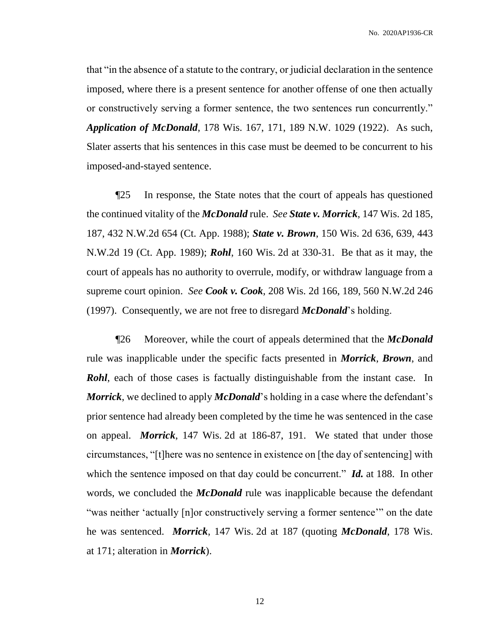that "in the absence of a statute to the contrary, or judicial declaration in the sentence imposed, where there is a present sentence for another offense of one then actually or constructively serving a former sentence, the two sentences run concurrently." *Application of McDonald*, 178 Wis. 167, 171, 189 N.W. 1029 (1922). As such, Slater asserts that his sentences in this case must be deemed to be concurrent to his imposed-and-stayed sentence.

¶25 In response, the State notes that the court of appeals has questioned the continued vitality of the *McDonald* rule. *See State v. Morrick*, 147 Wis. 2d 185, 187, 432 N.W.2d 654 (Ct. App. 1988); *State v. Brown*, 150 Wis. 2d 636, 639, 443 N.W.2d 19 (Ct. App. 1989); *Rohl*, 160 Wis. 2d at 330-31. Be that as it may, the court of appeals has no authority to overrule, modify, or withdraw language from a supreme court opinion. *See Cook v. Cook*, 208 Wis. 2d 166, 189, 560 N.W.2d 246 (1997). Consequently, we are not free to disregard *McDonald*'s holding.

¶26 Moreover, while the court of appeals determined that the *McDonald* rule was inapplicable under the specific facts presented in *Morrick*, *Brown*, and *Rohl*, each of those cases is factually distinguishable from the instant case. In *Morrick*, we declined to apply *McDonald*'s holding in a case where the defendant's prior sentence had already been completed by the time he was sentenced in the case on appeal. *Morrick*, 147 Wis. 2d at 186-87, 191. We stated that under those circumstances, "[t]here was no sentence in existence on [the day of sentencing] with which the sentence imposed on that day could be concurrent." *Id.* at 188. In other words, we concluded the *McDonald* rule was inapplicable because the defendant "was neither 'actually [n]or constructively serving a former sentence'" on the date he was sentenced. *Morrick*, 147 Wis. 2d at 187 (quoting *McDonald*, 178 Wis. at 171; alteration in *Morrick*).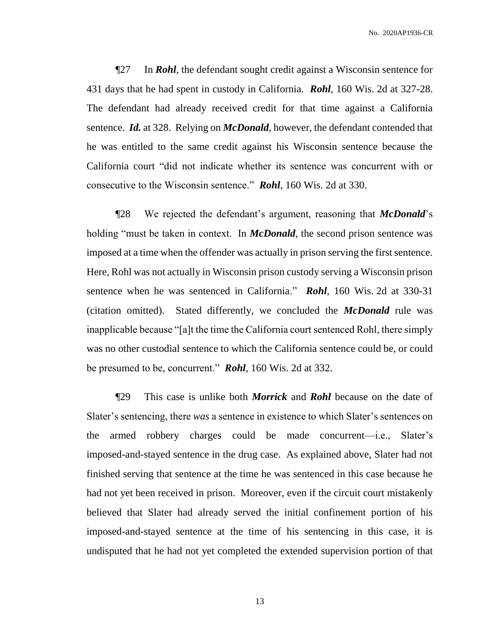¶27 In *Rohl*, the defendant sought credit against a Wisconsin sentence for 431 days that he had spent in custody in California. *Rohl*, 160 Wis. 2d at 327-28. The defendant had already received credit for that time against a California sentence. *Id.* at 328. Relying on *McDonald*, however, the defendant contended that he was entitled to the same credit against his Wisconsin sentence because the California court "did not indicate whether its sentence was concurrent with or consecutive to the Wisconsin sentence." *Rohl*, 160 Wis. 2d at 330.

¶28 We rejected the defendant's argument, reasoning that *McDonald*'s holding "must be taken in context. In *McDonald*, the second prison sentence was imposed at a time when the offender was actually in prison serving the first sentence. Here, Rohl was not actually in Wisconsin prison custody serving a Wisconsin prison sentence when he was sentenced in California." *Rohl*, 160 Wis. 2d at 330-31 (citation omitted). Stated differently, we concluded the *McDonald* rule was inapplicable because "[a]t the time the California court sentenced Rohl, there simply was no other custodial sentence to which the California sentence could be, or could be presumed to be, concurrent." *Rohl*, 160 Wis. 2d at 332.

¶29 This case is unlike both *Morrick* and *Rohl* because on the date of Slater's sentencing, there *was* a sentence in existence to which Slater's sentences on the armed robbery charges could be made concurrent—i.e., Slater's imposed-and-stayed sentence in the drug case. As explained above, Slater had not finished serving that sentence at the time he was sentenced in this case because he had not yet been received in prison. Moreover, even if the circuit court mistakenly believed that Slater had already served the initial confinement portion of his imposed-and-stayed sentence at the time of his sentencing in this case, it is undisputed that he had not yet completed the extended supervision portion of that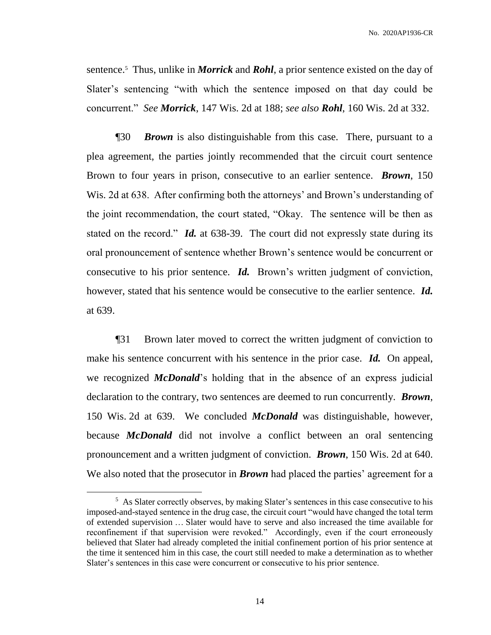sentence.<sup>5</sup> Thus, unlike in *Morrick* and *Rohl*, a prior sentence existed on the day of Slater's sentencing "with which the sentence imposed on that day could be concurrent." *See Morrick*, 147 Wis. 2d at 188; *see also Rohl*, 160 Wis. 2d at 332.

¶30 *Brown* is also distinguishable from this case. There, pursuant to a plea agreement, the parties jointly recommended that the circuit court sentence Brown to four years in prison, consecutive to an earlier sentence. *Brown*, 150 Wis. 2d at 638. After confirming both the attorneys' and Brown's understanding of the joint recommendation, the court stated, "Okay. The sentence will be then as stated on the record." *Id.* at 638-39. The court did not expressly state during its oral pronouncement of sentence whether Brown's sentence would be concurrent or consecutive to his prior sentence. *Id.* Brown's written judgment of conviction, however, stated that his sentence would be consecutive to the earlier sentence. *Id.* at 639.

¶31 Brown later moved to correct the written judgment of conviction to make his sentence concurrent with his sentence in the prior case. *Id.* On appeal, we recognized *McDonald*'s holding that in the absence of an express judicial declaration to the contrary, two sentences are deemed to run concurrently. *Brown*, 150 Wis. 2d at 639. We concluded *McDonald* was distinguishable, however, because *McDonald* did not involve a conflict between an oral sentencing pronouncement and a written judgment of conviction. *Brown*, 150 Wis. 2d at 640. We also noted that the prosecutor in *Brown* had placed the parties' agreement for a

<sup>&</sup>lt;sup>5</sup> As Slater correctly observes, by making Slater's sentences in this case consecutive to his imposed-and-stayed sentence in the drug case, the circuit court "would have changed the total term of extended supervision … Slater would have to serve and also increased the time available for reconfinement if that supervision were revoked." Accordingly, even if the court erroneously believed that Slater had already completed the initial confinement portion of his prior sentence at the time it sentenced him in this case, the court still needed to make a determination as to whether Slater's sentences in this case were concurrent or consecutive to his prior sentence.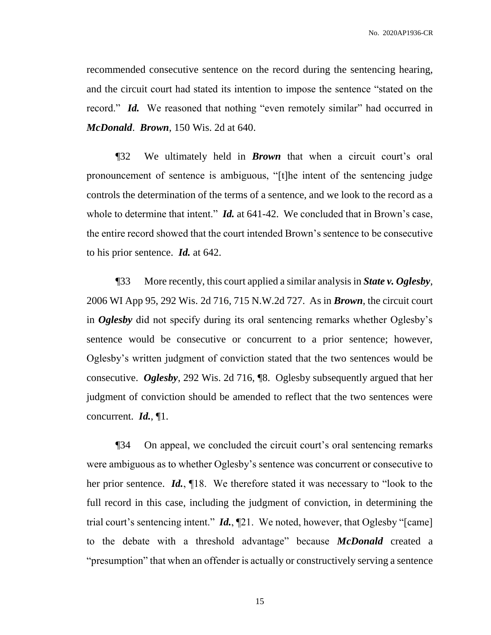recommended consecutive sentence on the record during the sentencing hearing, and the circuit court had stated its intention to impose the sentence "stated on the record." *Id.* We reasoned that nothing "even remotely similar" had occurred in *McDonald*. *Brown*, 150 Wis. 2d at 640.

¶32 We ultimately held in *Brown* that when a circuit court's oral pronouncement of sentence is ambiguous, "[t]he intent of the sentencing judge controls the determination of the terms of a sentence, and we look to the record as a whole to determine that intent." *Id.* at 641-42. We concluded that in Brown's case, the entire record showed that the court intended Brown's sentence to be consecutive to his prior sentence. *Id.* at 642.

¶33 More recently, this court applied a similar analysis in *State v. Oglesby*, 2006 WI App 95, 292 Wis. 2d 716, 715 N.W.2d 727. As in *Brown*, the circuit court in *Oglesby* did not specify during its oral sentencing remarks whether Oglesby's sentence would be consecutive or concurrent to a prior sentence; however, Oglesby's written judgment of conviction stated that the two sentences would be consecutive. *Oglesby*, 292 Wis. 2d 716, ¶8. Oglesby subsequently argued that her judgment of conviction should be amended to reflect that the two sentences were concurrent. *Id.*, ¶1.

¶34 On appeal, we concluded the circuit court's oral sentencing remarks were ambiguous as to whether Oglesby's sentence was concurrent or consecutive to her prior sentence. *Id.*, ¶18. We therefore stated it was necessary to "look to the full record in this case, including the judgment of conviction, in determining the trial court's sentencing intent." *Id.*, ¶21. We noted, however, that Oglesby "[came] to the debate with a threshold advantage" because *McDonald* created a "presumption" that when an offender is actually or constructively serving a sentence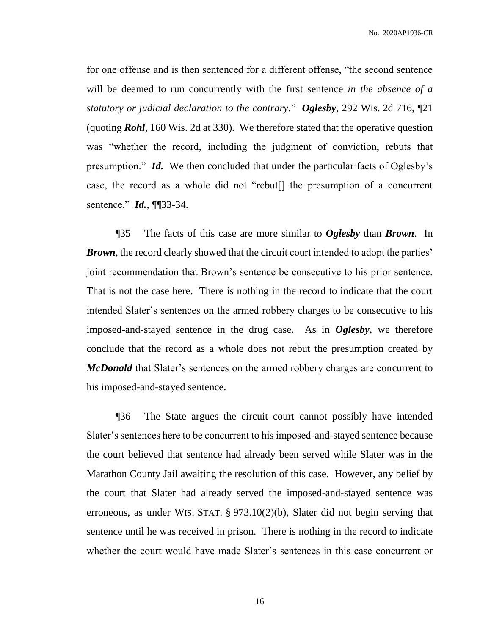for one offense and is then sentenced for a different offense, "the second sentence will be deemed to run concurrently with the first sentence *in the absence of a statutory or judicial declaration to the contrary.*" *Oglesby*, 292 Wis. 2d 716, ¶21 (quoting *Rohl*, 160 Wis. 2d at 330). We therefore stated that the operative question was "whether the record, including the judgment of conviction, rebuts that presumption." *Id.* We then concluded that under the particular facts of Oglesby's case, the record as a whole did not "rebut[] the presumption of a concurrent sentence." *Id.*, ¶¶33-34.

¶35 The facts of this case are more similar to *Oglesby* than *Brown*. In *Brown*, the record clearly showed that the circuit court intended to adopt the parties' joint recommendation that Brown's sentence be consecutive to his prior sentence. That is not the case here. There is nothing in the record to indicate that the court intended Slater's sentences on the armed robbery charges to be consecutive to his imposed-and-stayed sentence in the drug case. As in *Oglesby*, we therefore conclude that the record as a whole does not rebut the presumption created by *McDonald* that Slater's sentences on the armed robbery charges are concurrent to his imposed-and-stayed sentence.

¶36 The State argues the circuit court cannot possibly have intended Slater's sentences here to be concurrent to his imposed-and-stayed sentence because the court believed that sentence had already been served while Slater was in the Marathon County Jail awaiting the resolution of this case. However, any belief by the court that Slater had already served the imposed-and-stayed sentence was erroneous, as under WIS. STAT. § 973.10(2)(b), Slater did not begin serving that sentence until he was received in prison. There is nothing in the record to indicate whether the court would have made Slater's sentences in this case concurrent or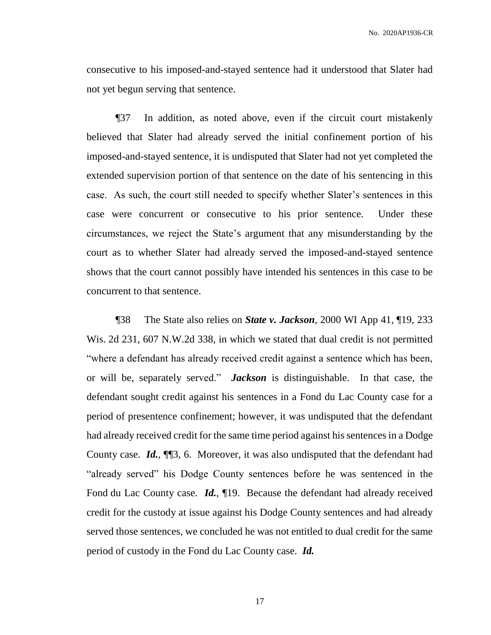consecutive to his imposed-and-stayed sentence had it understood that Slater had not yet begun serving that sentence.

¶37 In addition, as noted above, even if the circuit court mistakenly believed that Slater had already served the initial confinement portion of his imposed-and-stayed sentence, it is undisputed that Slater had not yet completed the extended supervision portion of that sentence on the date of his sentencing in this case. As such, the court still needed to specify whether Slater's sentences in this case were concurrent or consecutive to his prior sentence. Under these circumstances, we reject the State's argument that any misunderstanding by the court as to whether Slater had already served the imposed-and-stayed sentence shows that the court cannot possibly have intended his sentences in this case to be concurrent to that sentence.

¶38 The State also relies on *State v. Jackson*, 2000 WI App 41, ¶19, 233 Wis. 2d 231, 607 N.W.2d 338, in which we stated that dual credit is not permitted "where a defendant has already received credit against a sentence which has been, or will be, separately served." *Jackson* is distinguishable. In that case, the defendant sought credit against his sentences in a Fond du Lac County case for a period of presentence confinement; however, it was undisputed that the defendant had already received credit for the same time period against his sentences in a Dodge County case. *Id.*, ¶¶3, 6. Moreover, it was also undisputed that the defendant had "already served" his Dodge County sentences before he was sentenced in the Fond du Lac County case. *Id.*, ¶19. Because the defendant had already received credit for the custody at issue against his Dodge County sentences and had already served those sentences, we concluded he was not entitled to dual credit for the same period of custody in the Fond du Lac County case. *Id.*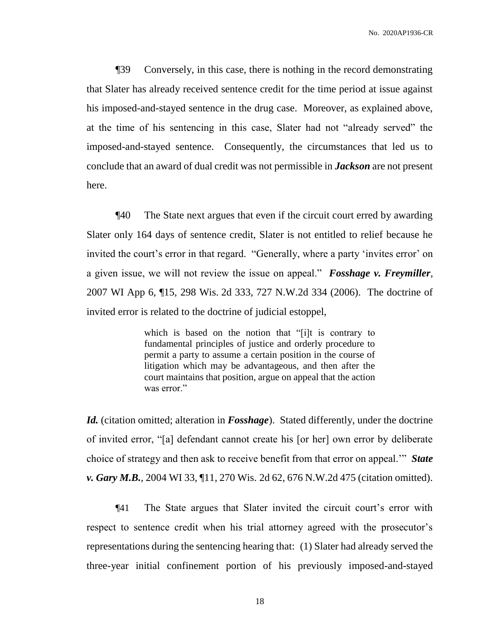¶39 Conversely, in this case, there is nothing in the record demonstrating that Slater has already received sentence credit for the time period at issue against his imposed-and-stayed sentence in the drug case. Moreover, as explained above, at the time of his sentencing in this case, Slater had not "already served" the imposed-and-stayed sentence. Consequently, the circumstances that led us to conclude that an award of dual credit was not permissible in *Jackson* are not present here.

¶40 The State next argues that even if the circuit court erred by awarding Slater only 164 days of sentence credit, Slater is not entitled to relief because he invited the court's error in that regard. "Generally, where a party 'invites error' on a given issue, we will not review the issue on appeal." *Fosshage v. Freymiller*, 2007 WI App 6, ¶15, 298 Wis. 2d 333, 727 N.W.2d 334 (2006). The doctrine of invited error is related to the doctrine of judicial estoppel,

> which is based on the notion that "[i]t is contrary to fundamental principles of justice and orderly procedure to permit a party to assume a certain position in the course of litigation which may be advantageous, and then after the court maintains that position, argue on appeal that the action was error."

*Id.* (citation omitted; alteration in *Fosshage*). Stated differently, under the doctrine of invited error, "[a] defendant cannot create his [or her] own error by deliberate choice of strategy and then ask to receive benefit from that error on appeal.'" *State v. Gary M.B.*, 2004 WI 33, ¶11, 270 Wis. 2d 62, 676 N.W.2d 475 (citation omitted).

¶41 The State argues that Slater invited the circuit court's error with respect to sentence credit when his trial attorney agreed with the prosecutor's representations during the sentencing hearing that: (1) Slater had already served the three-year initial confinement portion of his previously imposed-and-stayed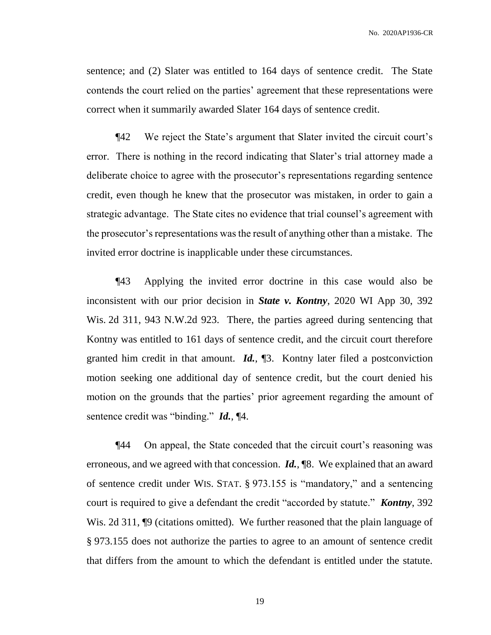sentence; and (2) Slater was entitled to 164 days of sentence credit. The State contends the court relied on the parties' agreement that these representations were correct when it summarily awarded Slater 164 days of sentence credit.

¶42 We reject the State's argument that Slater invited the circuit court's error. There is nothing in the record indicating that Slater's trial attorney made a deliberate choice to agree with the prosecutor's representations regarding sentence credit, even though he knew that the prosecutor was mistaken, in order to gain a strategic advantage. The State cites no evidence that trial counsel's agreement with the prosecutor's representations was the result of anything other than a mistake. The invited error doctrine is inapplicable under these circumstances.

¶43 Applying the invited error doctrine in this case would also be inconsistent with our prior decision in *State v. Kontny*, 2020 WI App 30, 392 Wis. 2d 311, 943 N.W.2d 923. There, the parties agreed during sentencing that Kontny was entitled to 161 days of sentence credit, and the circuit court therefore granted him credit in that amount. *Id.*, ¶3. Kontny later filed a postconviction motion seeking one additional day of sentence credit, but the court denied his motion on the grounds that the parties' prior agreement regarding the amount of sentence credit was "binding." *Id.*, ¶4.

¶44 On appeal, the State conceded that the circuit court's reasoning was erroneous, and we agreed with that concession. *Id.*, ¶8. We explained that an award of sentence credit under WIS. STAT. § 973.155 is "mandatory," and a sentencing court is required to give a defendant the credit "accorded by statute." *Kontny*, 392 Wis. 2d 311,  $\phi$  (citations omitted). We further reasoned that the plain language of § 973.155 does not authorize the parties to agree to an amount of sentence credit that differs from the amount to which the defendant is entitled under the statute.